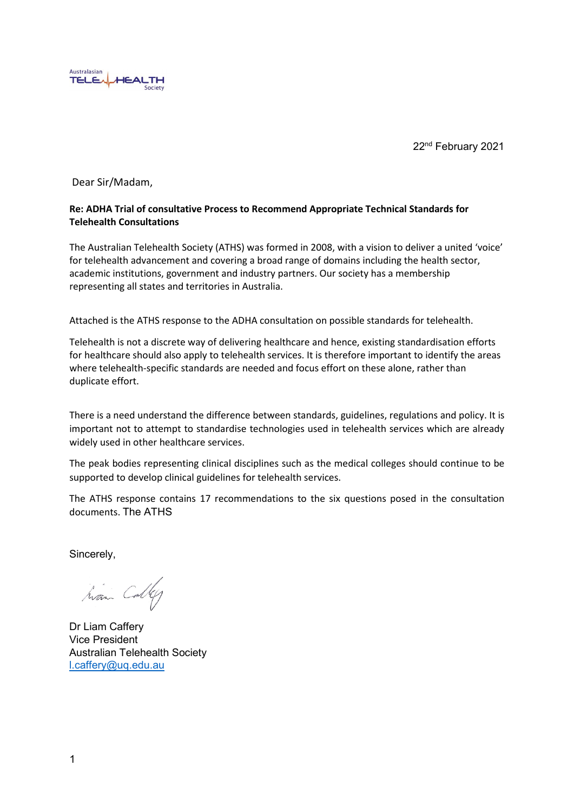

22nd February 2021

Dear Sir/Madam,

#### **Re: ADHA Trial of consultative Process to Recommend Appropriate Technical Standards for Telehealth Consultations**

The Australian Telehealth Society (ATHS) was formed in 2008, with a vision to deliver a united 'voice' for telehealth advancement and covering a broad range of domains including the health sector, academic institutions, government and industry partners. Our society has a membership representing all states and territories in Australia.

Attached is the ATHS response to the ADHA consultation on possible standards for telehealth.

Telehealth is not a discrete way of delivering healthcare and hence, existing standardisation efforts for healthcare should also apply to telehealth services. It is therefore important to identify the areas where telehealth-specific standards are needed and focus effort on these alone, rather than duplicate effort.

There is a need understand the difference between standards, guidelines, regulations and policy. It is important not to attempt to standardise technologies used in telehealth services which are already widely used in other healthcare services.

The peak bodies representing clinical disciplines such as the medical colleges should continue to be supported to develop clinical guidelines for telehealth services.

The ATHS response contains 17 recommendations to the six questions posed in the consultation documents. The ATHS

Sincerely,

han Colleg

Dr Liam Caffery Vice President Australian Telehealth Society [l.caffery@uq.edu.au](mailto:l.caffery@uq.edu.au)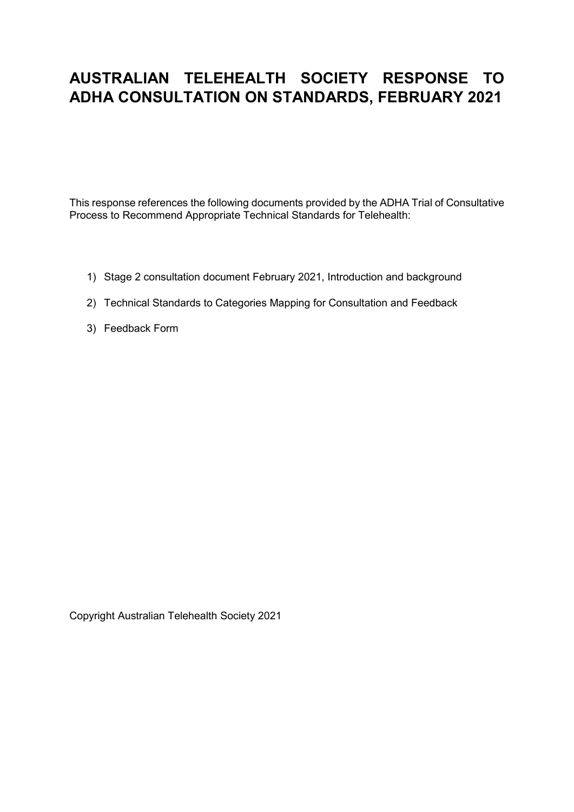# **AUSTRALIAN TELEHEALTH SOCIETY RESPONSE TO ADHA CONSULTATION ON STANDARDS, FEBRUARY 2021**

This response references the following documents provided by the ADHA Trial of Consultative Process to Recommend Appropriate Technical Standards for Telehealth:

- 1) Stage 2 consultation document February 2021, Introduction and background
- 2) Technical Standards to Categories Mapping for Consultation and Feedback
- 3) Feedback Form

Copyright Australian Telehealth Society 2021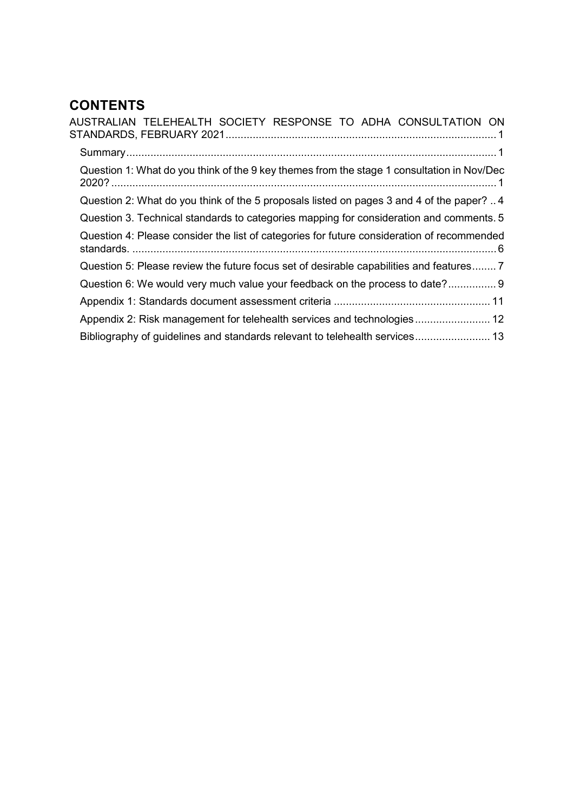# **CONTENTS**

| AUSTRALIAN TELEHEALTH SOCIETY RESPONSE TO ADHA CONSULTATION ON                             |
|--------------------------------------------------------------------------------------------|
|                                                                                            |
| Question 1: What do you think of the 9 key themes from the stage 1 consultation in Nov/Dec |
| Question 2: What do you think of the 5 proposals listed on pages 3 and 4 of the paper?4    |
| Question 3. Technical standards to categories mapping for consideration and comments. 5    |
| Question 4: Please consider the list of categories for future consideration of recommended |
| Question 5: Please review the future focus set of desirable capabilities and features 7    |
| Question 6: We would very much value your feedback on the process to date? 9               |
|                                                                                            |
| Appendix 2: Risk management for telehealth services and technologies 12                    |
| Bibliography of guidelines and standards relevant to telehealth services 13                |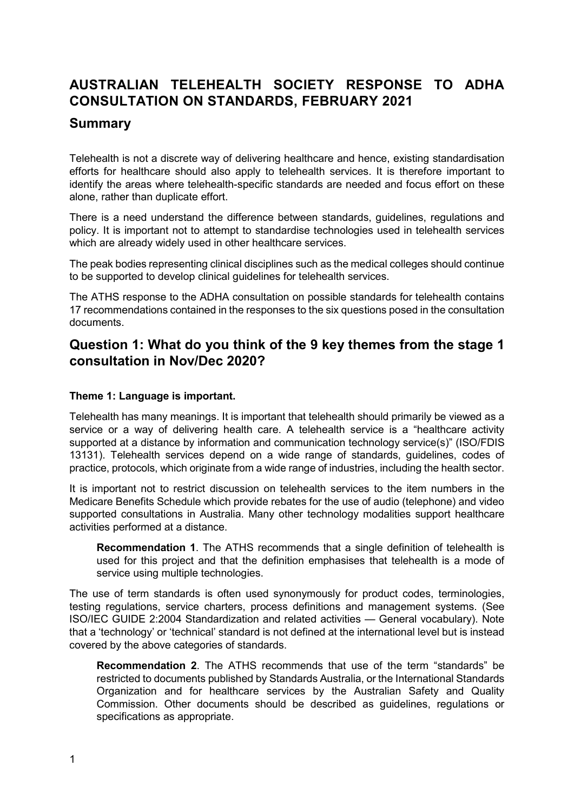# <span id="page-3-0"></span>**AUSTRALIAN TELEHEALTH SOCIETY RESPONSE TO ADHA CONSULTATION ON STANDARDS, FEBRUARY 2021**

# <span id="page-3-1"></span>**Summary**

Telehealth is not a discrete way of delivering healthcare and hence, existing standardisation efforts for healthcare should also apply to telehealth services. It is therefore important to identify the areas where telehealth-specific standards are needed and focus effort on these alone, rather than duplicate effort.

There is a need understand the difference between standards, guidelines, regulations and policy. It is important not to attempt to standardise technologies used in telehealth services which are already widely used in other healthcare services.

The peak bodies representing clinical disciplines such as the medical colleges should continue to be supported to develop clinical guidelines for telehealth services.

The ATHS response to the ADHA consultation on possible standards for telehealth contains 17 recommendations contained in the responses to the six questions posed in the consultation documents.

# <span id="page-3-2"></span>**Question 1: What do you think of the 9 key themes from the stage 1 consultation in Nov/Dec 2020?**

# **Theme 1: Language is important.**

Telehealth has many meanings. It is important that telehealth should primarily be viewed as a service or a way of delivering health care. A telehealth service is a "healthcare activity supported at a distance by information and communication technology service(s)" (ISO/FDIS 13131). Telehealth services depend on a wide range of standards, guidelines, codes of practice, protocols, which originate from a wide range of industries, including the health sector.

It is important not to restrict discussion on telehealth services to the item numbers in the Medicare Benefits Schedule which provide rebates for the use of audio (telephone) and video supported consultations in Australia. Many other technology modalities support healthcare activities performed at a distance.

**Recommendation 1**. The ATHS recommends that a single definition of telehealth is used for this project and that the definition emphasises that telehealth is a mode of service using multiple technologies.

The use of term standards is often used synonymously for product codes, terminologies, testing regulations, service charters, process definitions and management systems. (See ISO/IEC GUIDE 2:2004 Standardization and related activities — General vocabulary). Note that a 'technology' or 'technical' standard is not defined at the international level but is instead covered by the above categories of standards.

**Recommendation 2**. The ATHS recommends that use of the term "standards" be restricted to documents published by Standards Australia, or the International Standards Organization and for healthcare services by the Australian Safety and Quality Commission. Other documents should be described as guidelines, regulations or specifications as appropriate.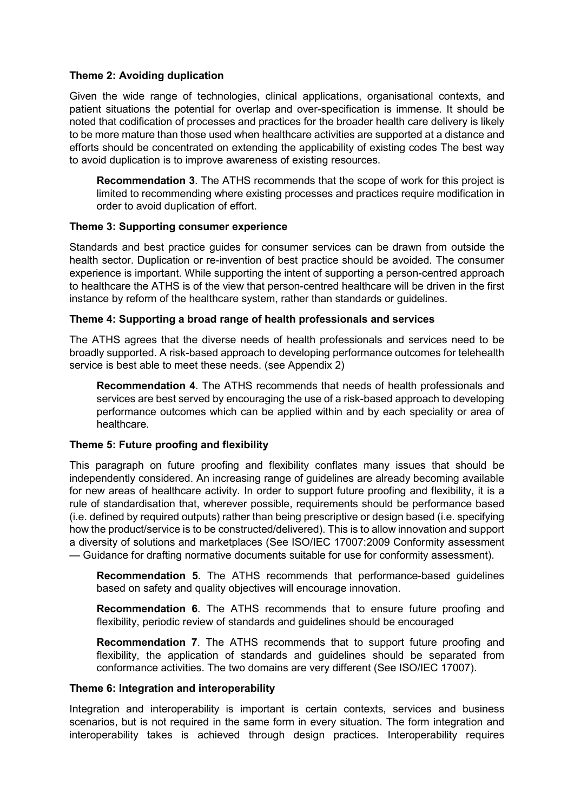## **Theme 2: Avoiding duplication**

Given the wide range of technologies, clinical applications, organisational contexts, and patient situations the potential for overlap and over-specification is immense. It should be noted that codification of processes and practices for the broader health care delivery is likely to be more mature than those used when healthcare activities are supported at a distance and efforts should be concentrated on extending the applicability of existing codes The best way to avoid duplication is to improve awareness of existing resources.

**Recommendation 3**. The ATHS recommends that the scope of work for this project is limited to recommending where existing processes and practices require modification in order to avoid duplication of effort.

# **Theme 3: Supporting consumer experience**

Standards and best practice guides for consumer services can be drawn from outside the health sector. Duplication or re-invention of best practice should be avoided. The consumer experience is important. While supporting the intent of supporting a person-centred approach to healthcare the ATHS is of the view that person-centred healthcare will be driven in the first instance by reform of the healthcare system, rather than standards or guidelines.

## **Theme 4: Supporting a broad range of health professionals and services**

The ATHS agrees that the diverse needs of health professionals and services need to be broadly supported. A risk-based approach to developing performance outcomes for telehealth service is best able to meet these needs. (see Appendix 2)

**Recommendation 4**. The ATHS recommends that needs of health professionals and services are best served by encouraging the use of a risk-based approach to developing performance outcomes which can be applied within and by each speciality or area of healthcare.

## **Theme 5: Future proofing and flexibility**

This paragraph on future proofing and flexibility conflates many issues that should be independently considered. An increasing range of guidelines are already becoming available for new areas of healthcare activity. In order to support future proofing and flexibility, it is a rule of standardisation that, wherever possible, requirements should be performance based (i.e. defined by required outputs) rather than being prescriptive or design based (i.e. specifying how the product/service is to be constructed/delivered). This is to allow innovation and support a diversity of solutions and marketplaces (See ISO/IEC 17007:2009 Conformity assessment — Guidance for drafting normative documents suitable for use for conformity assessment).

**Recommendation 5**. The ATHS recommends that performance-based guidelines based on safety and quality objectives will encourage innovation.

**Recommendation 6**. The ATHS recommends that to ensure future proofing and flexibility, periodic review of standards and guidelines should be encouraged

**Recommendation 7**. The ATHS recommends that to support future proofing and flexibility, the application of standards and guidelines should be separated from conformance activities. The two domains are very different (See ISO/IEC 17007).

## **Theme 6: Integration and interoperability**

Integration and interoperability is important is certain contexts, services and business scenarios, but is not required in the same form in every situation. The form integration and interoperability takes is achieved through design practices. Interoperability requires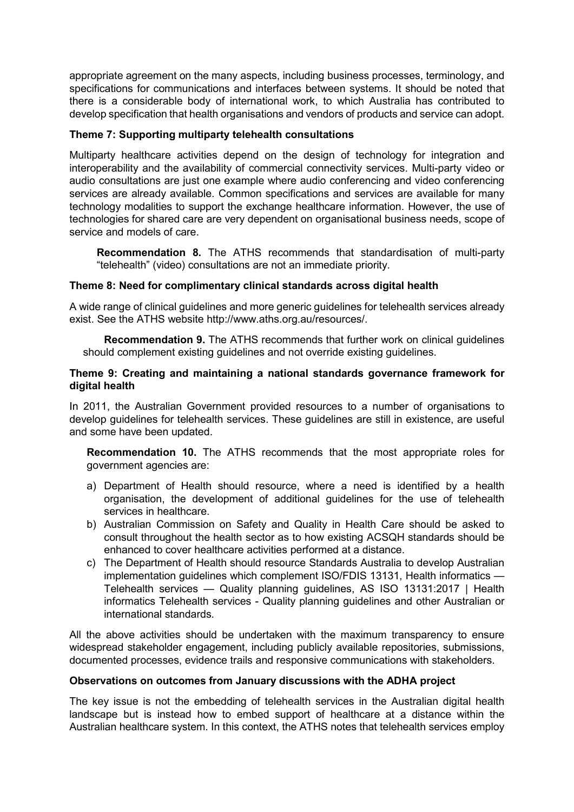appropriate agreement on the many aspects, including business processes, terminology, and specifications for communications and interfaces between systems. It should be noted that there is a considerable body of international work, to which Australia has contributed to develop specification that health organisations and vendors of products and service can adopt.

# **Theme 7: Supporting multiparty telehealth consultations**

Multiparty healthcare activities depend on the design of technology for integration and interoperability and the availability of commercial connectivity services. Multi-party video or audio consultations are just one example where audio conferencing and video conferencing services are already available. Common specifications and services are available for many technology modalities to support the exchange healthcare information. However, the use of technologies for shared care are very dependent on organisational business needs, scope of service and models of care.

**Recommendation 8.** The ATHS recommends that standardisation of multi-party "telehealth" (video) consultations are not an immediate priority.

# **Theme 8: Need for complimentary clinical standards across digital health**

A wide range of clinical guidelines and more generic guidelines for telehealth services already exist. See the ATHS website http://www.aths.org.au/resources/.

**Recommendation 9.** The ATHS recommends that further work on clinical guidelines should complement existing guidelines and not override existing guidelines.

## **Theme 9: Creating and maintaining a national standards governance framework for digital health**

In 2011, the Australian Government provided resources to a number of organisations to develop guidelines for telehealth services. These guidelines are still in existence, are useful and some have been updated.

**Recommendation 10.** The ATHS recommends that the most appropriate roles for government agencies are:

- a) Department of Health should resource, where a need is identified by a health organisation, the development of additional guidelines for the use of telehealth services in healthcare.
- b) Australian Commission on Safety and Quality in Health Care should be asked to consult throughout the health sector as to how existing ACSQH standards should be enhanced to cover healthcare activities performed at a distance.
- c) The Department of Health should resource Standards Australia to develop Australian implementation guidelines which complement ISO/FDIS 13131, Health informatics — Telehealth services — Quality planning guidelines, AS ISO 13131:2017 | Health informatics Telehealth services - Quality planning guidelines and other Australian or international standards.

All the above activities should be undertaken with the maximum transparency to ensure widespread stakeholder engagement, including publicly available repositories, submissions, documented processes, evidence trails and responsive communications with stakeholders.

## **Observations on outcomes from January discussions with the ADHA project**

The key issue is not the embedding of telehealth services in the Australian digital health landscape but is instead how to embed support of healthcare at a distance within the Australian healthcare system. In this context, the ATHS notes that telehealth services employ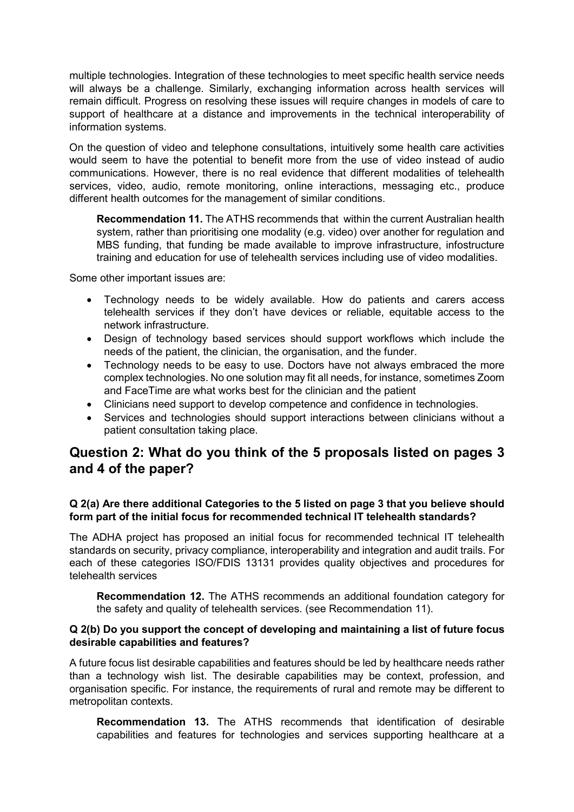multiple technologies. Integration of these technologies to meet specific health service needs will always be a challenge. Similarly, exchanging information across health services will remain difficult. Progress on resolving these issues will require changes in models of care to support of healthcare at a distance and improvements in the technical interoperability of information systems.

On the question of video and telephone consultations, intuitively some health care activities would seem to have the potential to benefit more from the use of video instead of audio communications. However, there is no real evidence that different modalities of telehealth services, video, audio, remote monitoring, online interactions, messaging etc., produce different health outcomes for the management of similar conditions.

**Recommendation 11.** The ATHS recommends that within the current Australian health system, rather than prioritising one modality (e.g. video) over another for regulation and MBS funding, that funding be made available to improve infrastructure, infostructure training and education for use of telehealth services including use of video modalities.

Some other important issues are:

- Technology needs to be widely available. How do patients and carers access telehealth services if they don't have devices or reliable, equitable access to the network infrastructure.
- Design of technology based services should support workflows which include the needs of the patient, the clinician, the organisation, and the funder.
- Technology needs to be easy to use. Doctors have not always embraced the more complex technologies. No one solution may fit all needs, for instance, sometimes Zoom and FaceTime are what works best for the clinician and the patient
- Clinicians need support to develop competence and confidence in technologies.
- Services and technologies should support interactions between clinicians without a patient consultation taking place.

# <span id="page-6-0"></span>**Question 2: What do you think of the 5 proposals listed on pages 3 and 4 of the paper?**

# **Q 2(a) Are there additional Categories to the 5 listed on page 3 that you believe should form part of the initial focus for recommended technical IT telehealth standards?**

The ADHA project has proposed an initial focus for recommended technical IT telehealth standards on security, privacy compliance, interoperability and integration and audit trails. For each of these categories ISO/FDIS 13131 provides quality objectives and procedures for telehealth services

**Recommendation 12.** The ATHS recommends an additional foundation category for the safety and quality of telehealth services. (see Recommendation 11).

#### **Q 2(b) Do you support the concept of developing and maintaining a list of future focus desirable capabilities and features?**

A future focus list desirable capabilities and features should be led by healthcare needs rather than a technology wish list. The desirable capabilities may be context, profession, and organisation specific. For instance, the requirements of rural and remote may be different to metropolitan contexts.

**Recommendation 13.** The ATHS recommends that identification of desirable capabilities and features for technologies and services supporting healthcare at a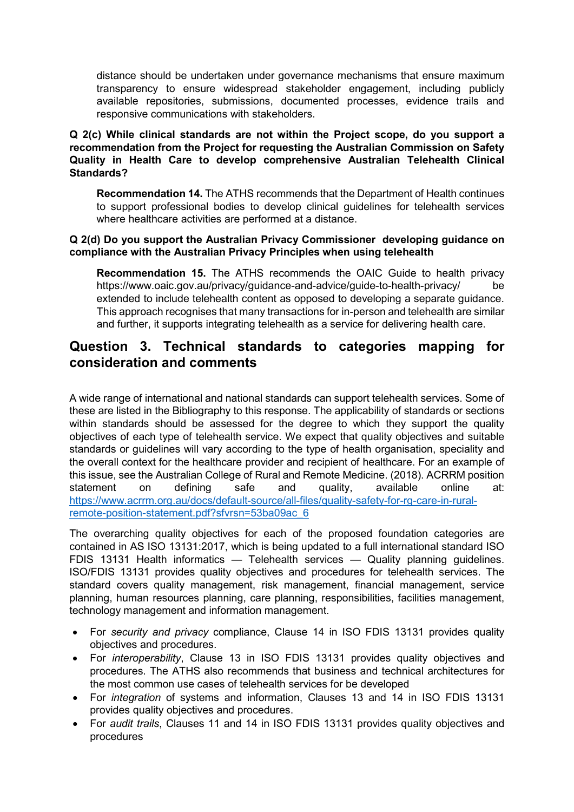distance should be undertaken under governance mechanisms that ensure maximum transparency to ensure widespread stakeholder engagement, including publicly available repositories, submissions, documented processes, evidence trails and responsive communications with stakeholders.

**Q 2(c) While clinical standards are not within the Project scope, do you support a recommendation from the Project for requesting the Australian Commission on Safety Quality in Health Care to develop comprehensive Australian Telehealth Clinical Standards?**

**Recommendation 14.** The ATHS recommends that the Department of Health continues to support professional bodies to develop clinical guidelines for telehealth services where healthcare activities are performed at a distance.

#### **Q 2(d) Do you support the Australian Privacy Commissioner developing guidance on compliance with the Australian Privacy Principles when using telehealth**

**Recommendation 15.** The ATHS recommends the OAIC Guide to health privacy https://www.oaic.gov.au/privacy/guidance-and-advice/guide-to-health-privacy/ be extended to include telehealth content as opposed to developing a separate guidance. This approach recognises that many transactions for in-person and telehealth are similar and further, it supports integrating telehealth as a service for delivering health care.

# <span id="page-7-0"></span>**Question 3. Technical standards to categories mapping for consideration and comments**

A wide range of international and national standards can support telehealth services. Some of these are listed in the Bibliography to this response. The applicability of standards or sections within standards should be assessed for the degree to which they support the quality objectives of each type of telehealth service. We expect that quality objectives and suitable standards or quidelines will vary according to the type of health organisation, speciality and the overall context for the healthcare provider and recipient of healthcare. For an example of this issue, see the Australian College of Rural and Remote Medicine. (2018). ACRRM position statement on defining safe and quality, available online at: [https://www.acrrm.org.au/docs/default-source/all-files/quality-safety-for-rg-care-in-rural](https://www.acrrm.org.au/docs/default-source/all-files/quality-safety-for-rg-care-in-rural-remote-position-statement.pdf?sfvrsn=53ba09ac_6)[remote-position-statement.pdf?sfvrsn=53ba09ac\\_6](https://www.acrrm.org.au/docs/default-source/all-files/quality-safety-for-rg-care-in-rural-remote-position-statement.pdf?sfvrsn=53ba09ac_6)

The overarching quality objectives for each of the proposed foundation categories are contained in AS ISO 13131:2017, which is being updated to a full international standard ISO FDIS 13131 Health informatics — Telehealth services — Quality planning guidelines. ISO/FDIS 13131 provides quality objectives and procedures for telehealth services. The standard covers quality management, risk management, financial management, service planning, human resources planning, care planning, responsibilities, facilities management, technology management and information management.

- For *security and privacy* compliance, Clause 14 in ISO FDIS 13131 provides quality objectives and procedures.
- For *interoperability*, Clause 13 in ISO FDIS 13131 provides quality objectives and procedures. The ATHS also recommends that business and technical architectures for the most common use cases of telehealth services for be developed
- For *integration* of systems and information, Clauses 13 and 14 in ISO FDIS 13131 provides quality objectives and procedures.
- For *audit trails*, Clauses 11 and 14 in ISO FDIS 13131 provides quality objectives and procedures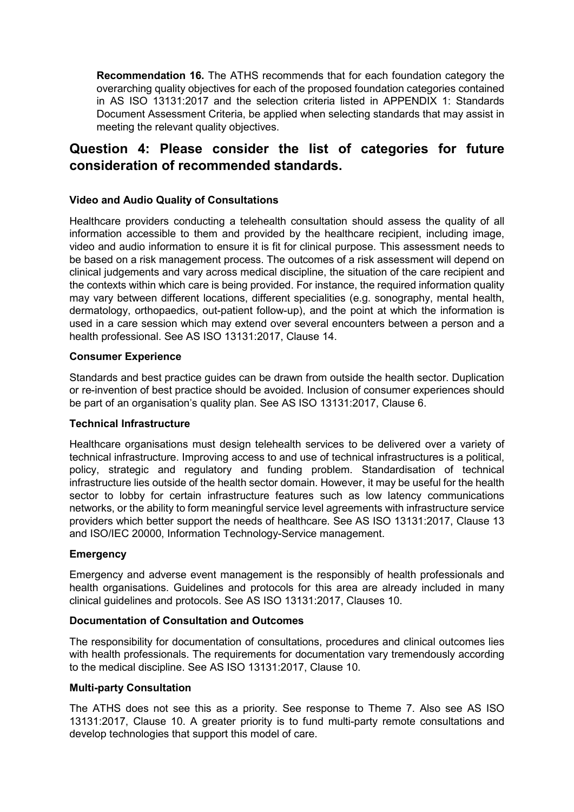**Recommendation 16.** The ATHS recommends that for each foundation category the overarching quality objectives for each of the proposed foundation categories contained in AS ISO 13131:2017 and the selection criteria listed in APPENDIX 1: Standards Document Assessment Criteria, be applied when selecting standards that may assist in meeting the relevant quality objectives.

# <span id="page-8-0"></span>**Question 4: Please consider the list of categories for future consideration of recommended standards.**

# **Video and Audio Quality of Consultations**

Healthcare providers conducting a telehealth consultation should assess the quality of all information accessible to them and provided by the healthcare recipient, including image, video and audio information to ensure it is fit for clinical purpose. This assessment needs to be based on a risk management process. The outcomes of a risk assessment will depend on clinical judgements and vary across medical discipline, the situation of the care recipient and the contexts within which care is being provided. For instance, the required information quality may vary between different locations, different specialities (e.g. sonography, mental health, dermatology, orthopaedics, out-patient follow-up), and the point at which the information is used in a care session which may extend over several encounters between a person and a health professional. See AS ISO 13131:2017, Clause 14.

## **Consumer Experience**

Standards and best practice guides can be drawn from outside the health sector. Duplication or re-invention of best practice should be avoided. Inclusion of consumer experiences should be part of an organisation's quality plan. See AS ISO 13131:2017, Clause 6.

## **Technical Infrastructure**

Healthcare organisations must design telehealth services to be delivered over a variety of technical infrastructure. Improving access to and use of technical infrastructures is a political, policy, strategic and regulatory and funding problem. Standardisation of technical infrastructure lies outside of the health sector domain. However, it may be useful for the health sector to lobby for certain infrastructure features such as low latency communications networks, or the ability to form meaningful service level agreements with infrastructure service providers which better support the needs of healthcare. See AS ISO 13131:2017, Clause 13 and ISO/IEC 20000, Information Technology-Service management.

## **Emergency**

Emergency and adverse event management is the responsibly of health professionals and health organisations. Guidelines and protocols for this area are already included in many clinical guidelines and protocols. See AS ISO 13131:2017, Clauses 10.

# **Documentation of Consultation and Outcomes**

The responsibility for documentation of consultations, procedures and clinical outcomes lies with health professionals. The requirements for documentation vary tremendously according to the medical discipline. See AS ISO 13131:2017, Clause 10.

#### **Multi-party Consultation**

The ATHS does not see this as a priority. See response to Theme 7. Also see AS ISO 13131:2017, Clause 10. A greater priority is to fund multi-party remote consultations and develop technologies that support this model of care.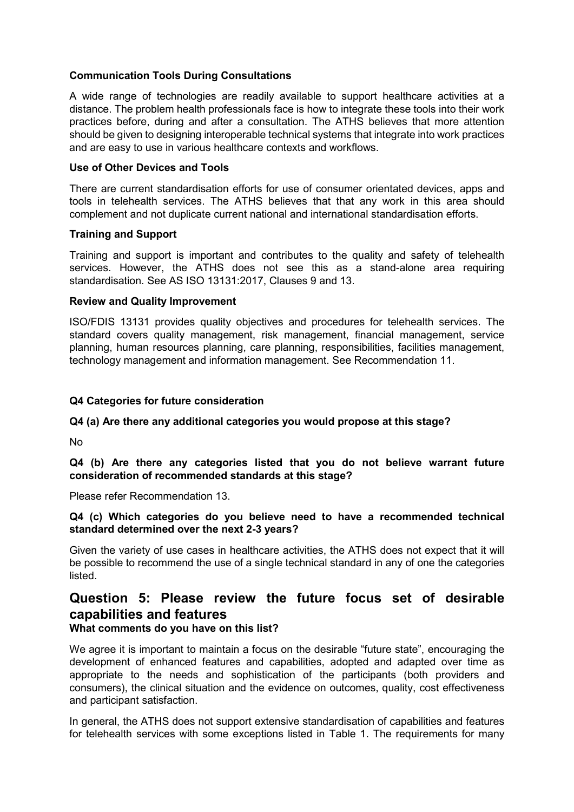# **Communication Tools During Consultations**

A wide range of technologies are readily available to support healthcare activities at a distance. The problem health professionals face is how to integrate these tools into their work practices before, during and after a consultation. The ATHS believes that more attention should be given to designing interoperable technical systems that integrate into work practices and are easy to use in various healthcare contexts and workflows.

#### **Use of Other Devices and Tools**

There are current standardisation efforts for use of consumer orientated devices, apps and tools in telehealth services. The ATHS believes that that any work in this area should complement and not duplicate current national and international standardisation efforts.

#### **Training and Support**

Training and support is important and contributes to the quality and safety of telehealth services. However, the ATHS does not see this as a stand-alone area requiring standardisation. See AS ISO 13131:2017, Clauses 9 and 13.

#### **Review and Quality Improvement**

ISO/FDIS 13131 provides quality objectives and procedures for telehealth services. The standard covers quality management, risk management, financial management, service planning, human resources planning, care planning, responsibilities, facilities management, technology management and information management. See Recommendation 11.

## **Q4 Categories for future consideration**

## **Q4 (a) Are there any additional categories you would propose at this stage?**

No

**Q4 (b) Are there any categories listed that you do not believe warrant future consideration of recommended standards at this stage?**

Please refer Recommendation 13.

## **Q4 (c) Which categories do you believe need to have a recommended technical standard determined over the next 2-3 years?**

Given the variety of use cases in healthcare activities, the ATHS does not expect that it will be possible to recommend the use of a single technical standard in any of one the categories listed.

# <span id="page-9-0"></span>**Question 5: Please review the future focus set of desirable capabilities and features**

## **What comments do you have on this list?**

We agree it is important to maintain a focus on the desirable "future state", encouraging the development of enhanced features and capabilities, adopted and adapted over time as appropriate to the needs and sophistication of the participants (both providers and consumers), the clinical situation and the evidence on outcomes, quality, cost effectiveness and participant satisfaction.

In general, the ATHS does not support extensive standardisation of capabilities and features for telehealth services with some exceptions listed in Table 1. The requirements for many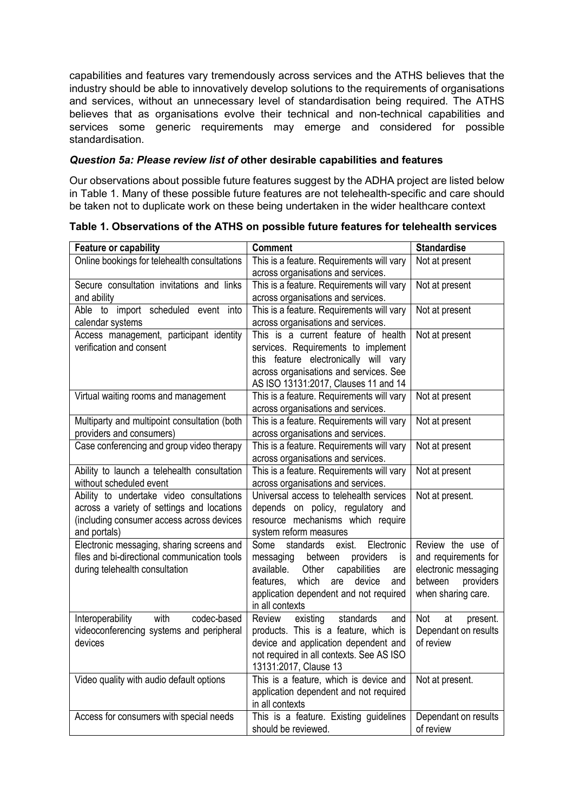capabilities and features vary tremendously across services and the ATHS believes that the industry should be able to innovatively develop solutions to the requirements of organisations and services, without an unnecessary level of standardisation being required. The ATHS believes that as organisations evolve their technical and non-technical capabilities and services some generic requirements may emerge and considered for possible standardisation.

# *Question 5a: Please review list of o***ther desirable capabilities and features**

Our observations about possible future features suggest by the ADHA project are listed below in Table 1. Many of these possible future features are not telehealth-specific and care should be taken not to duplicate work on these being undertaken in the wider healthcare context

| <b>Feature or capability</b>                                 | <b>Comment</b>                                            | <b>Standardise</b>                     |  |
|--------------------------------------------------------------|-----------------------------------------------------------|----------------------------------------|--|
| Online bookings for telehealth consultations                 | This is a feature. Requirements will vary                 | Not at present                         |  |
|                                                              | across organisations and services.                        |                                        |  |
| Secure consultation invitations and links                    | This is a feature. Requirements will vary                 | Not at present                         |  |
| and ability                                                  | across organisations and services.                        |                                        |  |
| Able to import scheduled event into                          | This is a feature. Requirements will vary                 | Not at present                         |  |
| calendar systems                                             | across organisations and services.                        |                                        |  |
| Access management, participant identity                      | This is a current feature of health                       | Not at present                         |  |
| verification and consent                                     | services. Requirements to implement                       |                                        |  |
|                                                              | this feature electronically will vary                     |                                        |  |
|                                                              | across organisations and services. See                    |                                        |  |
|                                                              | AS ISO 13131:2017, Clauses 11 and 14                      |                                        |  |
| Virtual waiting rooms and management                         | This is a feature. Requirements will vary                 | Not at present                         |  |
|                                                              | across organisations and services.                        |                                        |  |
| Multiparty and multipoint consultation (both                 | This is a feature. Requirements will vary                 | Not at present                         |  |
| providers and consumers)                                     | across organisations and services.                        |                                        |  |
| Case conferencing and group video therapy                    | This is a feature. Requirements will vary                 | Not at present                         |  |
|                                                              | across organisations and services.                        |                                        |  |
| Ability to launch a telehealth consultation                  | This is a feature. Requirements will vary                 | Not at present                         |  |
| without scheduled event                                      | across organisations and services.                        |                                        |  |
| Ability to undertake video consultations                     | Universal access to telehealth services                   | Not at present.                        |  |
| across a variety of settings and locations                   | depends on policy, regulatory and                         |                                        |  |
| (including consumer access across devices                    | resource mechanisms which require                         |                                        |  |
| and portals)                                                 | system reform measures                                    |                                        |  |
| Electronic messaging, sharing screens and                    | Electronic<br>standards<br>exist.<br>Some                 | Review the use of                      |  |
| files and bi-directional communication tools                 | between<br>providers<br>messaging<br>is                   | and requirements for                   |  |
| during telehealth consultation                               | available.<br>Other<br>capabilities<br>are                | electronic messaging                   |  |
|                                                              | which<br>features,<br>are<br>device<br>and                | between<br>providers                   |  |
|                                                              | application dependent and not required<br>in all contexts | when sharing care.                     |  |
| with<br>codec-based                                          | Review<br>standards                                       | Not                                    |  |
| Interoperability<br>videoconferencing systems and peripheral | existing<br>and<br>products. This is a feature, which is  | at<br>present.<br>Dependant on results |  |
| devices                                                      | device and application dependent and                      | of review                              |  |
|                                                              | not required in all contexts. See AS ISO                  |                                        |  |
|                                                              | 13131:2017, Clause 13                                     |                                        |  |
| Video quality with audio default options                     | This is a feature, which is device and                    | Not at present.                        |  |
|                                                              | application dependent and not required                    |                                        |  |
|                                                              | in all contexts                                           |                                        |  |
| Access for consumers with special needs                      | This is a feature. Existing guidelines                    | Dependant on results                   |  |
|                                                              | should be reviewed.                                       | of review                              |  |
|                                                              |                                                           |                                        |  |

**Table 1. Observations of the ATHS on possible future features for telehealth services**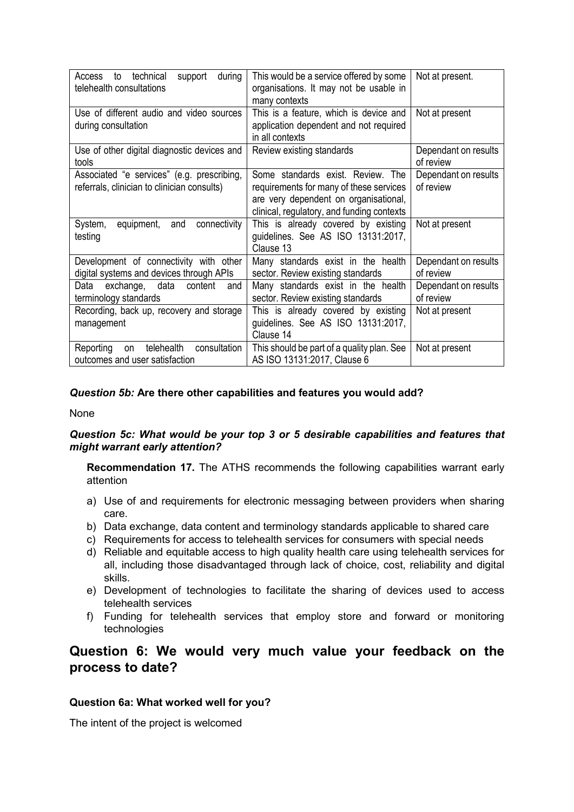| technical<br>during<br>support<br>Access<br>to<br>telehealth consultations                | This would be a service offered by some<br>organisations. It may not be usable in<br>many contexts                                                                  | Not at present.                   |
|-------------------------------------------------------------------------------------------|---------------------------------------------------------------------------------------------------------------------------------------------------------------------|-----------------------------------|
| Use of different audio and video sources<br>during consultation                           | This is a feature, which is device and<br>application dependent and not required<br>in all contexts                                                                 | Not at present                    |
| Use of other digital diagnostic devices and<br>tools                                      | Review existing standards                                                                                                                                           | Dependant on results<br>of review |
| Associated "e services" (e.g. prescribing,<br>referrals, clinician to clinician consults) | Some standards exist. Review. The<br>requirements for many of these services<br>are very dependent on organisational,<br>clinical, regulatory, and funding contexts | Dependant on results<br>of review |
| connectivity<br>System,<br>equipment,<br>and<br>testing                                   | This is already covered by existing<br>guidelines. See AS ISO 13131:2017,<br>Clause 13                                                                              | Not at present                    |
| Development of connectivity with other<br>digital systems and devices through APIs        | Many standards exist in the health<br>sector. Review existing standards                                                                                             | Dependant on results<br>of review |
| exchange, data<br>content<br>Data<br>and<br>terminology standards                         | Many standards exist in the health<br>sector. Review existing standards                                                                                             | Dependant on results<br>of review |
| Recording, back up, recovery and storage<br>management                                    | This is already covered by existing<br>guidelines. See AS ISO 13131:2017,<br>Clause 14                                                                              | Not at present                    |
| telehealth<br>consultation<br>Reporting<br>on<br>outcomes and user satisfaction           | This should be part of a quality plan. See<br>AS ISO 13131:2017, Clause 6                                                                                           | Not at present                    |

# *Question 5b:* **Are there other capabilities and features you would add?**

None

## *Question 5c: What would be your top 3 or 5 desirable capabilities and features that might warrant early attention?*

**Recommendation 17.** The ATHS recommends the following capabilities warrant early attention

- a) Use of and requirements for electronic messaging between providers when sharing care.
- b) Data exchange, data content and terminology standards applicable to shared care
- c) Requirements for access to telehealth services for consumers with special needs
- d) Reliable and equitable access to high quality health care using telehealth services for all, including those disadvantaged through lack of choice, cost, reliability and digital skills.
- e) Development of technologies to facilitate the sharing of devices used to access telehealth services
- f) Funding for telehealth services that employ store and forward or monitoring technologies

# <span id="page-11-0"></span>**Question 6: We would very much value your feedback on the process to date?**

## **Question 6a: What worked well for you?**

The intent of the project is welcomed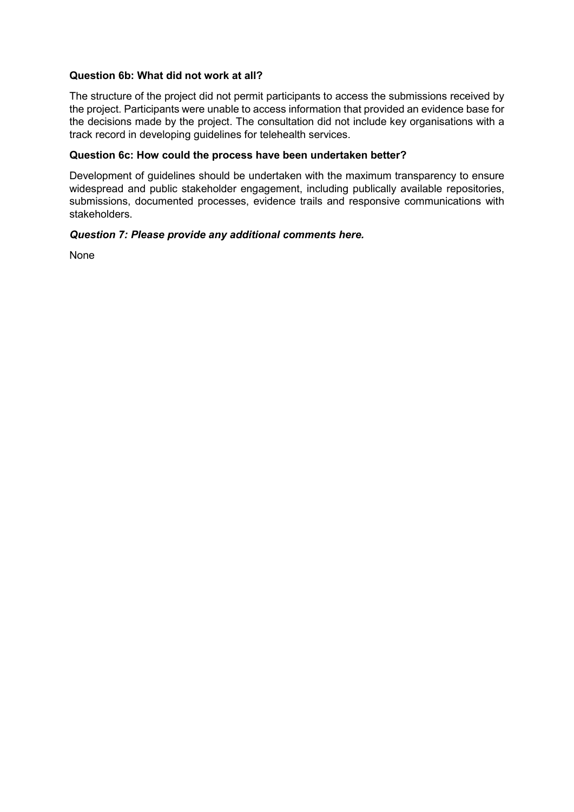## **Question 6b: What did not work at all?**

The structure of the project did not permit participants to access the submissions received by the project. Participants were unable to access information that provided an evidence base for the decisions made by the project. The consultation did not include key organisations with a track record in developing guidelines for telehealth services.

## **Question 6c: How could the process have been undertaken better?**

Development of guidelines should be undertaken with the maximum transparency to ensure widespread and public stakeholder engagement, including publically available repositories, submissions, documented processes, evidence trails and responsive communications with stakeholders.

# *Question 7: Please provide any additional comments here.*

None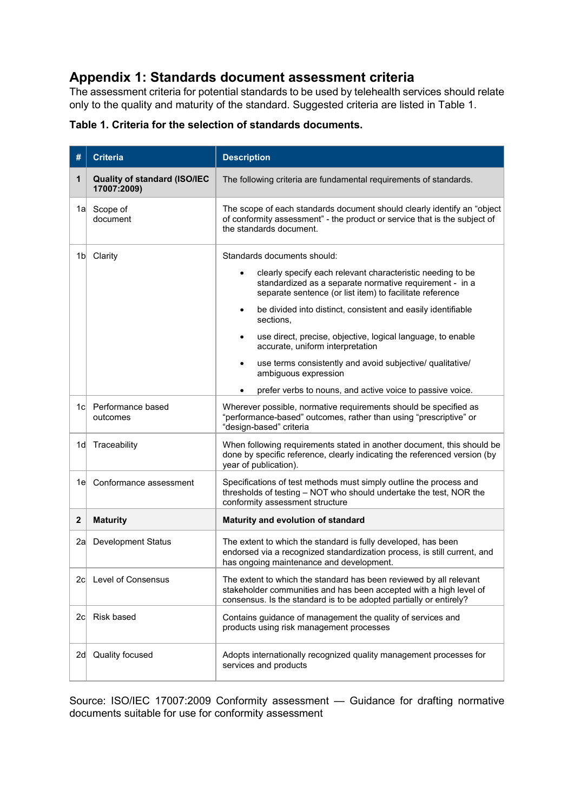# <span id="page-13-0"></span>**Appendix 1: Standards document assessment criteria**

The assessment criteria for potential standards to be used by telehealth services should relate only to the quality and maturity of the standard. Suggested criteria are listed in Table 1.

| #   | <b>Criteria</b>                             | <b>Description</b>                                                                                                                                                                                             |  |  |  |
|-----|---------------------------------------------|----------------------------------------------------------------------------------------------------------------------------------------------------------------------------------------------------------------|--|--|--|
| 1   | Quality of standard (ISO/IEC<br>17007:2009) | The following criteria are fundamental requirements of standards.                                                                                                                                              |  |  |  |
| 1al | Scope of<br>document                        | The scope of each standards document should clearly identify an "object<br>of conformity assessment" - the product or service that is the subject of<br>the standards document.                                |  |  |  |
| 1bl | Clarity                                     | Standards documents should:                                                                                                                                                                                    |  |  |  |
|     |                                             | clearly specify each relevant characteristic needing to be<br>standardized as a separate normative requirement - in a<br>separate sentence (or list item) to facilitate reference                              |  |  |  |
|     |                                             | be divided into distinct, consistent and easily identifiable<br>$\bullet$<br>sections,                                                                                                                         |  |  |  |
|     |                                             | use direct, precise, objective, logical language, to enable<br>accurate, uniform interpretation                                                                                                                |  |  |  |
|     |                                             | use terms consistently and avoid subjective/ qualitative/<br>ambiguous expression                                                                                                                              |  |  |  |
|     |                                             | prefer verbs to nouns, and active voice to passive voice.                                                                                                                                                      |  |  |  |
| 1cl | Performance based<br>outcomes               | Wherever possible, normative requirements should be specified as<br>"performance-based" outcomes, rather than using "prescriptive" or<br>"design-based" criteria                                               |  |  |  |
| 1dl | Traceability                                | When following requirements stated in another document, this should be<br>done by specific reference, clearly indicating the referenced version (by<br>year of publication).                                   |  |  |  |
| 1el | Conformance assessment                      | Specifications of test methods must simply outline the process and<br>thresholds of testing - NOT who should undertake the test, NOR the<br>conformity assessment structure                                    |  |  |  |
| 2   | <b>Maturity</b>                             | Maturity and evolution of standard                                                                                                                                                                             |  |  |  |
| 2al | <b>Development Status</b>                   | The extent to which the standard is fully developed, has been<br>endorsed via a recognized standardization process, is still current, and<br>has ongoing maintenance and development.                          |  |  |  |
|     | 2c Level of Consensus                       | The extent to which the standard has been reviewed by all relevant<br>stakeholder communities and has been accepted with a high level of<br>consensus. Is the standard is to be adopted partially or entirely? |  |  |  |
| 2cl | Risk based                                  | Contains guidance of management the quality of services and<br>products using risk management processes                                                                                                        |  |  |  |
| 2d  | Quality focused                             | Adopts internationally recognized quality management processes for<br>services and products                                                                                                                    |  |  |  |

|  |  |  |  | Table 1. Criteria for the selection of standards documents. |  |
|--|--|--|--|-------------------------------------------------------------|--|
|--|--|--|--|-------------------------------------------------------------|--|

Source: ISO/IEC 17007:2009 Conformity assessment — Guidance for drafting normative documents suitable for use for conformity assessment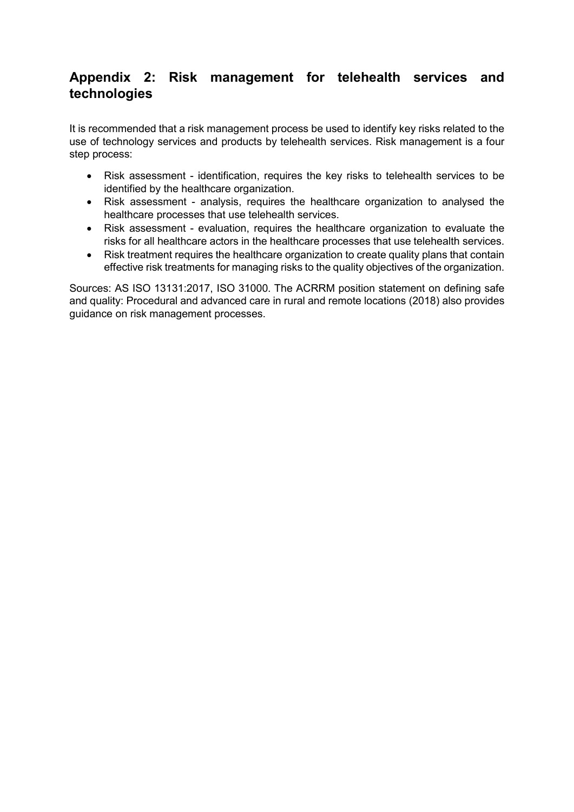# <span id="page-14-0"></span>**Appendix 2: Risk management for telehealth services and technologies**

It is recommended that a risk management process be used to identify key risks related to the use of technology services and products by telehealth services. Risk management is a four step process:

- Risk assessment identification, requires the key risks to telehealth services to be identified by the healthcare organization.
- Risk assessment analysis, requires the healthcare organization to analysed the healthcare processes that use telehealth services.
- Risk assessment evaluation, requires the healthcare organization to evaluate the risks for all healthcare actors in the healthcare processes that use telehealth services.
- Risk treatment requires the healthcare organization to create quality plans that contain effective risk treatments for managing risks to the quality objectives of the organization.

Sources: AS ISO 13131:2017, ISO 31000. The ACRRM position statement on defining safe and quality: Procedural and advanced care in rural and remote locations (2018) also provides guidance on risk management processes.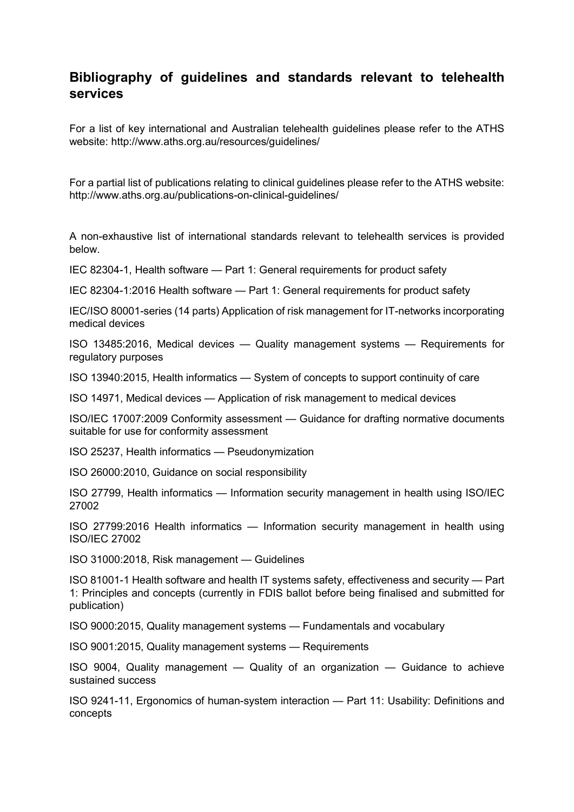# <span id="page-15-0"></span>**Bibliography of guidelines and standards relevant to telehealth services**

For a list of key international and Australian telehealth guidelines please refer to the ATHS website: http://www.aths.org.au/resources/guidelines/

For a partial list of publications relating to clinical guidelines please refer to the ATHS website: http://www.aths.org.au/publications-on-clinical-guidelines/

A non-exhaustive list of international standards relevant to telehealth services is provided below.

IEC 82304-1, Health software — Part 1: General requirements for product safety

IEC 82304-1:2016 Health software — Part 1: General requirements for product safety

IEC/ISO 80001-series (14 parts) Application of risk management for IT-networks incorporating medical devices

ISO 13485:2016, Medical devices — Quality management systems — Requirements for regulatory purposes

ISO 13940:2015, Health informatics — System of concepts to support continuity of care

ISO 14971, Medical devices — Application of risk management to medical devices

ISO/IEC 17007:2009 Conformity assessment — Guidance for drafting normative documents suitable for use for conformity assessment

ISO 25237, Health informatics — Pseudonymization

ISO 26000:2010, Guidance on social responsibility

ISO 27799, Health informatics — Information security management in health using ISO/IEC 27002

ISO 27799:2016 Health informatics — Information security management in health using ISO/IEC 27002

ISO 31000:2018, Risk management — Guidelines

ISO 81001-1 Health software and health IT systems safety, effectiveness and security — Part 1: Principles and concepts (currently in FDIS ballot before being finalised and submitted for publication)

ISO 9000:2015, Quality management systems — Fundamentals and vocabulary

ISO 9001:2015, Quality management systems — Requirements

ISO 9004, Quality management — Quality of an organization — Guidance to achieve sustained success

ISO 9241-11, Ergonomics of human-system interaction — Part 11: Usability: Definitions and concepts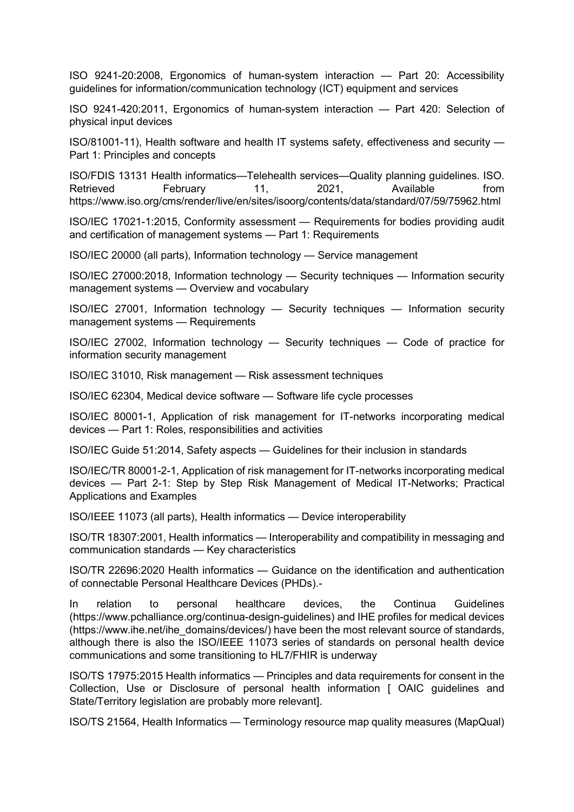ISO 9241-20:2008, Ergonomics of human-system interaction — Part 20: Accessibility guidelines for information/communication technology (ICT) equipment and services

ISO 9241-420:2011, Ergonomics of human-system interaction — Part 420: Selection of physical input devices

ISO/81001-11), Health software and health IT systems safety, effectiveness and security — Part 1: Principles and concepts

ISO/FDIS 13131 Health informatics—Telehealth services—Quality planning guidelines. ISO. Retrieved February 11, 2021, Available from https://www.iso.org/cms/render/live/en/sites/isoorg/contents/data/standard/07/59/75962.html

ISO/IEC 17021-1:2015, Conformity assessment — Requirements for bodies providing audit and certification of management systems — Part 1: Requirements

ISO/IEC 20000 (all parts), Information technology — Service management

ISO/IEC 27000:2018, Information technology — Security techniques — Information security management systems — Overview and vocabulary

ISO/IEC 27001, Information technology — Security techniques — Information security management systems — Requirements

ISO/IEC 27002, Information technology — Security techniques — Code of practice for information security management

ISO/IEC 31010, Risk management — Risk assessment techniques

ISO/IEC 62304, Medical device software — Software life cycle processes

ISO/IEC 80001-1, Application of risk management for IT-networks incorporating medical devices — Part 1: Roles, responsibilities and activities

ISO/IEC Guide 51:2014, Safety aspects — Guidelines for their inclusion in standards

ISO/IEC/TR 80001-2-1, Application of risk management for IT-networks incorporating medical devices — Part 2-1: Step by Step Risk Management of Medical IT-Networks; Practical Applications and Examples

ISO/IEEE 11073 (all parts), Health informatics — Device interoperability

ISO/TR 18307:2001, Health informatics — Interoperability and compatibility in messaging and communication standards — Key characteristics

ISO/TR 22696:2020 Health informatics — Guidance on the identification and authentication of connectable Personal Healthcare Devices (PHDs).-

In relation to personal healthcare devices, the Continua Guidelines (https://www.pchalliance.org/continua-design-guidelines) and IHE profiles for medical devices (https://www.ihe.net/ihe\_domains/devices/) have been the most relevant source of standards, although there is also the ISO/IEEE 11073 series of standards on personal health device communications and some transitioning to HL7/FHIR is underway

ISO/TS 17975:2015 Health informatics — Principles and data requirements for consent in the Collection, Use or Disclosure of personal health information [ OAIC guidelines and State/Territory legislation are probably more relevant].

ISO/TS 21564, Health Informatics — Terminology resource map quality measures (MapQual)